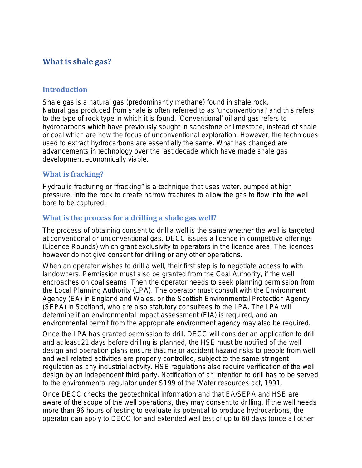# **What is shale gas?**

### **Introduction**

Shale gas is a natural gas (predominantly methane) found in shale rock. Natural gas produced from shale is often referred to as 'unconventional' and this refers to the type of rock type in which it is found. 'Conventional' oil and gas refers to hydrocarbons which have previously sought in sandstone or limestone, instead of shale or coal which are now the focus of unconventional exploration. However, the techniques used to extract hydrocarbons are essentially the same. What has changed are advancements in technology over the last decade which have made shale gas development economically viable.

### **What is fracking?**

Hydraulic fracturing or "fracking" is a technique that uses water, pumped at high pressure, into the rock to create narrow fractures to allow the gas to flow into the well bore to be captured.

# **What is the process for a drilling a shale gas well?**

The process of obtaining consent to drill a well is the same whether the well is targeted at conventional or unconventional gas. DECC issues a licence in competitive offerings (Licence Rounds) which grant exclusivity to operators in the licence area. The licences however do not give consent for drilling or any other operations.

When an operator wishes to drill a well, their first step is to negotiate access to with landowners. Permission must also be granted from the Coal Authority, if the well encroaches on coal seams. Then the operator needs to seek planning permission from the Local Planning Authority (LPA). The operator must consult with the Environment Agency (EA) in England and Wales, or the Scottish Environmental Protection Agency (SEPA) in Scotland, who are also statutory consultees to the LPA. The LPA will determine if an environmental impact assessment (EIA) is required, and an environmental permit from the appropriate environment agency may also be required.

Once the LPA has granted permission to drill, DECC will consider an application to drill and at least 21 days before drilling is planned, the HSE must be notified of the well design and operation plans ensure that major accident hazard risks to people from well and well related activities are properly controlled, subject to the same stringent regulation as any industrial activity. HSE regulations also require verification of the well design by an independent third party. Notification of an intention to drill has to be served to the environmental regulator under S199 of the Water resources act, 1991.

Once DECC checks the geotechnical information and that EA/SEPA and HSE are aware of the scope of the well operations, they may consent to drilling. If the well needs more than 96 hours of testing to evaluate its potential to produce hydrocarbons, the operator can apply to DECC for and extended well test of up to 60 days (once all other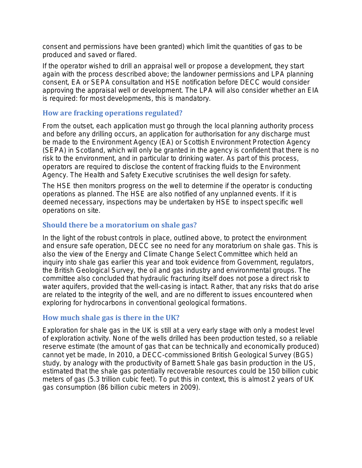consent and permissions have been granted) which limit the quantities of gas to be produced and saved or flared.

If the operator wished to drill an appraisal well or propose a development, they start again with the process described above; the landowner permissions and LPA planning consent, EA or SEPA consultation and HSE notification before DECC would consider approving the appraisal well or development. The LPA will also consider whether an EIA is required: for most developments, this is mandatory.

### **How are fracking operations regulated?**

From the outset, each application must go through the local planning authority process and before any drilling occurs, an application for authorisation for any discharge must be made to the Environment Agency (EA) or Scottish Environment Protection Agency (SEPA) in Scotland, which will only be granted in the agency is confident that there is no risk to the environment, and in particular to drinking water. As part of this process, operators are required to disclose the content of fracking fluids to the Environment Agency. The Health and Safety Executive scrutinises the well design for safety.

The HSE then monitors progress on the well to determine if the operator is conducting operations as planned. The HSE are also notified of any unplanned events. If it is deemed necessary, inspections may be undertaken by HSE to inspect specific well operations on site.

# **Should there be a moratorium on shale gas?**

In the light of the robust controls in place, outlined above, to protect the environment and ensure safe operation, DECC see no need for any moratorium on shale gas. This is also the view of the Energy and Climate Change Select Committee which held an inquiry into shale gas earlier this year and took evidence from Government, regulators, the British Geological Survey, the oil and gas industry and environmental groups. The committee also concluded that hydraulic fracturing itself does not pose a direct risk to water aquifers, provided that the well-casing is intact. Rather, that any risks that do arise are related to the integrity of the well, and are no different to issues encountered when exploring for hydrocarbons in conventional geological formations.

# **How much shale gas is there in the UK?**

Exploration for shale gas in the UK is still at a very early stage with only a modest level of exploration activity. None of the wells drilled has been production tested, so a reliable reserve estimate (the amount of gas that can be technically and economically produced) cannot yet be made, In 2010, a DECC-commissioned British Geological Survey (BGS) study, by analogy with the productivity of Barnett Shale gas basin production in the US, estimated that the shale gas potentially recoverable resources could be 150 billion cubic meters of gas (5.3 trillion cubic feet). To put this in context, this is almost 2 years of UK gas consumption (86 billion cubic meters in 2009).